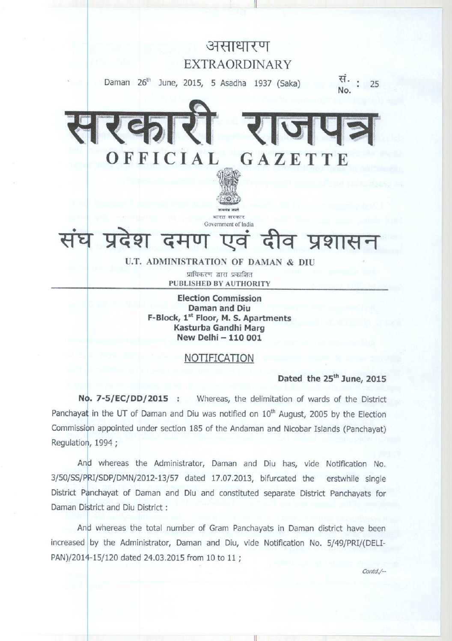

**Daman and Diu F-Block**, **1t Floor**, **M. S. Apartments Kasturba Gandhi Marg New Delhi** - **110 001**

### NOTIFICATION

Dated the 25<sup>th</sup> June, 2015

**No. 7-5/EC/DD/2015** : Whereas, the delimitation of wards of the District Panchayat in the UT of Daman and Diu was notified on  $10<sup>th</sup>$  August, 2005 by the Election Commission appointed under section 185 of the Andaman and Nicobar Islands (Panchayat) Regulation, 1994 ;

And whereas the Administrator, Daman and Diu has, vide Notification No. 3/50/SS/PRI/SDP/DMN/2012-13/57 dated 17.07.2013, bifurcated the erstwhile single District Panchayat of Daman and Diu and constituted separate District Panchayats for Daman District and Diu District :

And whereas the total number of Gram Panchayats in Daman district have been increased by the Administrator, Daman and Diu, vide Notification No. 5/49/PRI/(DELI-PAN)/2014-15/120 dated 24.03.2015 from 10 to 11 ;

contd./--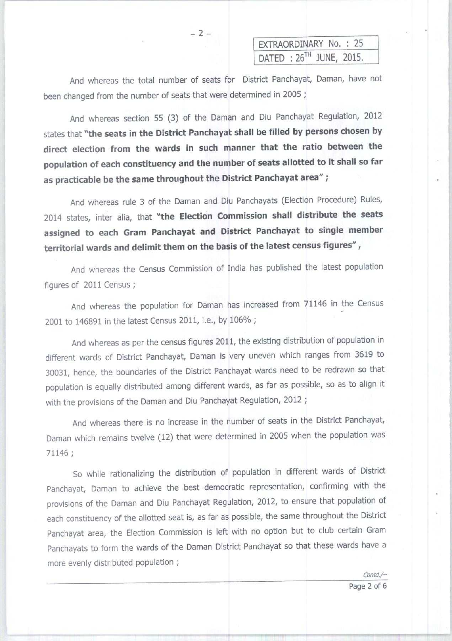EXTRAORDINARY No. : 25 DATED : 26TH JUNE, 2015.

And whereas the total number of seats for District Panchayat, Daman, have not been changed from the number of seats that were determined in 2005 ;

And whereas section 55 (3) of the Daman and Diu Panchayat Regulation, 2012 states that "the **seats in the District Panchayat shall be filled by persons chosen by direct election from the wards in such manner that the ratio between the population of each constituency and the number of seats allotted to it shall so far as practicable be the same throughout the District Panchayat area" ;**

And whereas rule 3 of the Daman and Diu Panchayats (Election Procedure) Rules, 2014 states, inter alia, that "the **Election Commission shall distribute the seats assigned to each Gram Panchayat and District Panchayat to single member territorial wards and delimit them on the basis of the latest census figures" ,**

And whereas the Census Commission of India has published the latest population figures of 2011 Census ;

And whereas the population for Daman has increased from 71146 in the Census 2001 to 146891 in the latest Census 2011, i.e., by 106% ;

**And whereas as per the census figures 2011** , **the existing distribution of population in different wards of District Panchayat**, **Daman is very uneven** which **ranges from 3619 to 30031** , **hence, the boundaries of the District Panchayat wards need to be redrawn so that** population is equally distributed among different wards, as far as possible, so as to align it **with the provisions of the Daman and Diu Panchayat Regulation, 2012 ;**

**And whereas there is no increase in the number of seats in the District Panchayat, Daman which remains twelve** ( **12) that were determined in 2005 when the population was** 71146 ;

So while rationalizing the distribution of population in different wards of District Panchayat, Daman to achieve the best democratic representation, confirming with the provisions of the Daman and Diu Panchayat Regulation, 2012, to ensure that population of each constituency of the allotted seat is, as far as possible, the same throughout the District Panchayat area, the Election Commission is left with no option but to club certain Gram Panchayats to form the wards of the Daman District Panchayat so that these wards have a more evenly distributed population ;

I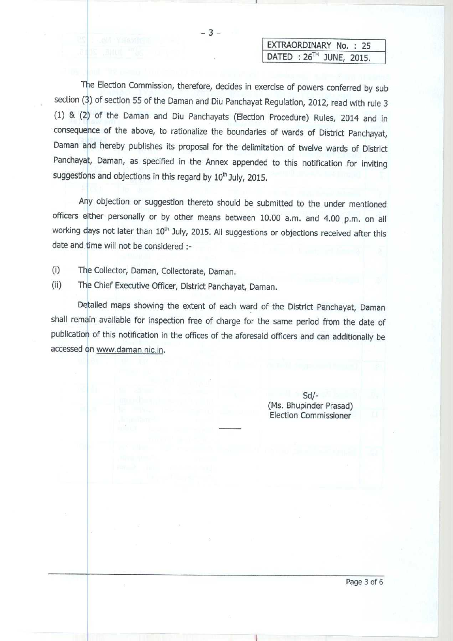$-3-$ 

## EXTRAORDINARY No. : 25 DATED **: 26TH JUNE, 2015.**

The Election Commission, therefore, decides in exercise of powers conferred by sub section (3) of section 55 of the Daman and Diu Panchayat Regulation, 2012, read with rule 3 (1) & (2) of the Daman and Diu Panchayats (Election Procedure) Rules, 2014 and in consequence of the above, to rationalize the boundaries of wards of District Panchayat, Daman and hereby publishes its proposal for the delimitation of twelve wards of District Panchayat, **Daman**, as specified in the Annex appended to this notification for inviting suggestions and objections in this regard by 10<sup>th</sup> July, 2015.

Any objection or suggestion thereto should be submitted to the under mentioned officers either personally or by other means between 10.00 a.m. and 4.00 p.m. on all working days not later than 10<sup>th</sup> July, 2015. All suggestions or objections received after this date and time will not be considered :-

(i) The Collector, Daman, Collectorate, Daman.

(ii) The Chief Executive Officer, District Panchayat, **Daman.**

Detailed maps showing the extent of each ward of the District Panchayat, Daman shall remain available for inspection free of charge for the same period from the date of publication of this notification in the offices of the aforesaid officers and can additionally be accessed on www.daman.nic.in.

> Sd/- (Ms. Bhupinder Prasad) Election Commissioner

**Page 3 of 6**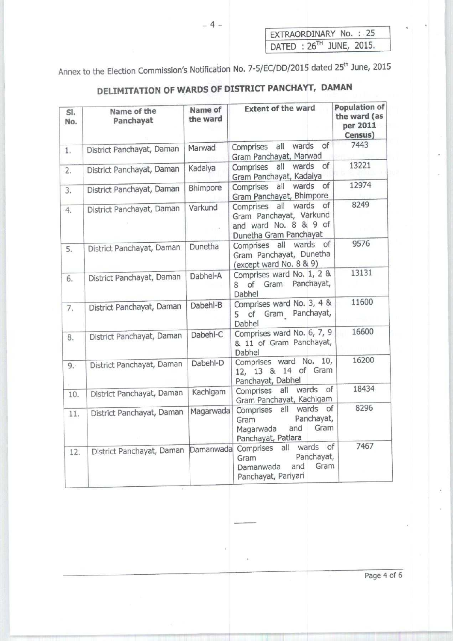| EXTRAORDINARY No. : 25               |  |  |
|--------------------------------------|--|--|
| DATED : 26 <sup>TH</sup> JUNE, 2015. |  |  |

Annex to the Election Commission's Notification No. 7-5/EC/DD/2015 dated 25<sup>th</sup> June, 2015

# **DELIMITATION OF WARDS OF DISTRICT PANCHAYT, DAMAN**

| SI.<br>No. | Name of the<br>Panchayat  | Name of<br>the ward | <b>Extent of the ward</b>                                                                                     | Population of<br>the ward (as<br>per 2011<br>Census) |
|------------|---------------------------|---------------------|---------------------------------------------------------------------------------------------------------------|------------------------------------------------------|
| 1.         | District Panchayat, Daman | Marwad              | of<br>wards<br>Comprises all<br>Gram Panchayat, Marwad                                                        | 7443                                                 |
| 2.         | District Panchayat, Daman | Kadaiya             | of<br>wards<br>Comprises<br>all<br>Gram Panchayat, Kadaiya                                                    | 13221                                                |
| 3.         | District Panchayat, Daman | Bhimpore            | wards<br>of<br>all<br>Comprises<br>Gram Panchayat, Bhimpore                                                   | 12974                                                |
| 4.         | District Panchayat, Daman | Varkund             | wards<br>of<br>all<br>Comprises<br>Gram Panchayat, Varkund<br>and ward No. 8 & 9 of<br>Dunetha Gram Panchayat | 8249                                                 |
| 5.         | District Panchayat, Daman | Dunetha             | Comprises all wards of<br>Gram Panchayat, Dunetha<br>(except ward No. 8 & 9)                                  | 9576                                                 |
| 6.         | District Panchayat, Daman | Dabhel-A            | Comprises ward No. 1, 2 &<br>of Gram Panchayat,<br>8<br>Dabhel                                                | 13131                                                |
| 7.         | District Panchayat, Daman | Dabehl-B            | Comprises ward No. 3, 4 &<br>of Gram Panchayat,<br>5<br>Dabhel                                                | 11600                                                |
| 8.         | District Panchayat, Daman | Dabehl-C            | Comprises ward No. 6, 7, 9<br>& 11 of Gram Panchayat,<br>Dabhel                                               | 16600                                                |
| 9.5        | District Panchayat, Daman | Dabehl-D            | Comprises ward No. 10,<br>12, 13 & 14 of Gram<br>Panchayat, Dabhel                                            | 16200<br>18434                                       |
| 10.        | District Panchayat, Daman | Kachigam            | wards<br>of<br>Comprises all<br>Gram Panchayat, Kachigam                                                      |                                                      |
| 11.        | District Panchayat, Daman | Magarwada           | Comprises all wards of<br>Panchayat,<br>Gram<br>Gram<br>and<br>Magarwada<br>Panchayat, Patlara                | 8296                                                 |
| 12.        | District Panchayat, Daman | Damanwada           | Comprises all wards of<br>Panchayat,<br>Gram<br>Gram<br>and<br>Damanwada<br>Panchayat, Pariyari               | 7467                                                 |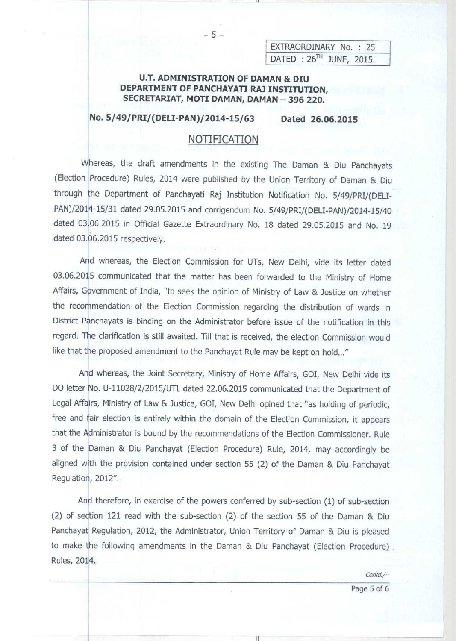EXTRAORDINARY No. : 25  $DATA$  :  $26<sup>TH</sup>$  JUNE, 2015.

#### **U.T. ADMINISTRATION OF DAMAN & DIU DEPARTMENT OF PANCHAYATI RAJ INSTITUTION,** SECRETARIAT, MOTI DAMAN, DAMAN - 396 220.

 $-5-$ 

**No. 5/49**/**PRI/(DELI**-**PAN)/2014-15/63 Dated 26.06.2015**

#### NOTIFICATION

Whereas, the draft amendments in the existing The Daman & Diu Panchayats (Election Procedure) Rules, 2014 were published by the Union Territory of Daman & Diu through the Department of Panchayati Raj Institution Notification No. 5/49/PRI/(DELI-PAN)/2014-15/31 dated 29.05.2015 and corrigendum No. 5/49/PRI/(DELI-PAN)/2014-15/40 dated 03.06.2015 in Official Gazette Extraordinary No. 18 dated 29.05.2015 and No. 19 dated 03.06.2015 respectively.

And whereas, the Election Commission for UTs, New Delhi, vide its letter dated 03.06.2015 communicated that the matter has been forwarded to the Ministry of Home Affairs, Government of India, "to seek the opinion of Ministry of Law & Justice on whether the recommendation of the Election Commission regarding the distribution of wards in District Panchayats is binding on the Administrator before issue of the notification in this regard. The clarification is still awaited. Till that is received, the election Commission would like that the proposed amendment to the Panchayat Rule may be kept on hold..."

And whereas, the Joint Secretary, Ministry of Home Affairs, GOI, New Delhi vide its DO letter No. U-11028/2/2015/UTL dated 22.06.2015 communicated that the Department of Legal Affairs, Ministry of Law & Justice, GOI, New Delhi opined that "as holding of periodic, free and fair election is entirely within the domain of the Election Commission, it appears that the Administrator is bound by the recommendations of the Election Commissioner. Rule 3 of the Daman & Diu Panchayat (Election Procedure) Rule, 2014, may accordingly be aligned with the provision contained under section 55 (2) of the Daman & Diu Panchayat Regulation, 2012".

**And therefore** , **in exercise of the powers conferred by sub**-**section** ( **1) of sub-section (2) of se**ct**ion 121 read with the sub-section** ( **2) of the section 55 of the Daman & Diu** Panchayat Regulation, 2012, the Administrator, Union Territory of Daman & Diu is pleased **to make the following amendments in the Daman** & **Diu Panchayat** (**Election Procedure) Rules, 2014.**